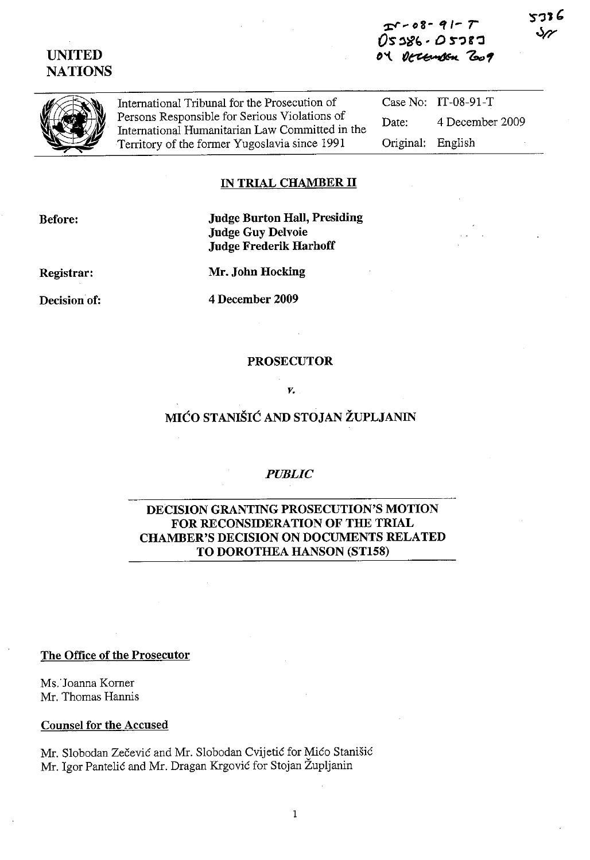# **UNITED NATIONS**

**:Pi"d'S- ., 1-** *r OS'* ~~" . *0* **\$"';)g ':I tI't** 'O~ **'6..1** 



International Tribunal for the Prosecution of Persons Responsible for Serious Violations of International Humanitarian Law Committed in the Territory of the former Yugoslavia since 1991

Case No: IT-08-91-T Date: 4 December 2009 Original: English

## **IN TRIAL CHAMBER 11**

**Before:** 

**Judge Burton Hall, Presiding Judge Guy Delvoie Judge Frederik Harhoff** 

**Registrar:** 

**Mr, John Hocking** 

**Decision of:** 

4 **December 2009** 

#### **PROSECUTOR**

**v,** 

# **MIĆO STANIŠIĆ AND STOJAN ŽUPLJANIN**

### *PUBLIC*

# **DECISION GRANTING PROSECUTION'S MOTION FOR RECONSIDERATION OF THE TRIAL CHAMBER'S DECISION ON DOCUMENTS RELATED TO DOROTHEA HANSON (ST158)**

#### **The Office of the Prosecutor**

MS.'Joanna Korner Mr. Thomas Hannis

#### **Counsel for the Accused**

Mr. Slobodan Zecevic and Mr. Slobodan Cvijetic for Mico Stanisic Mr. Igor Pantelic and Mr. Dragan Krgovic for Stojan Zupljanin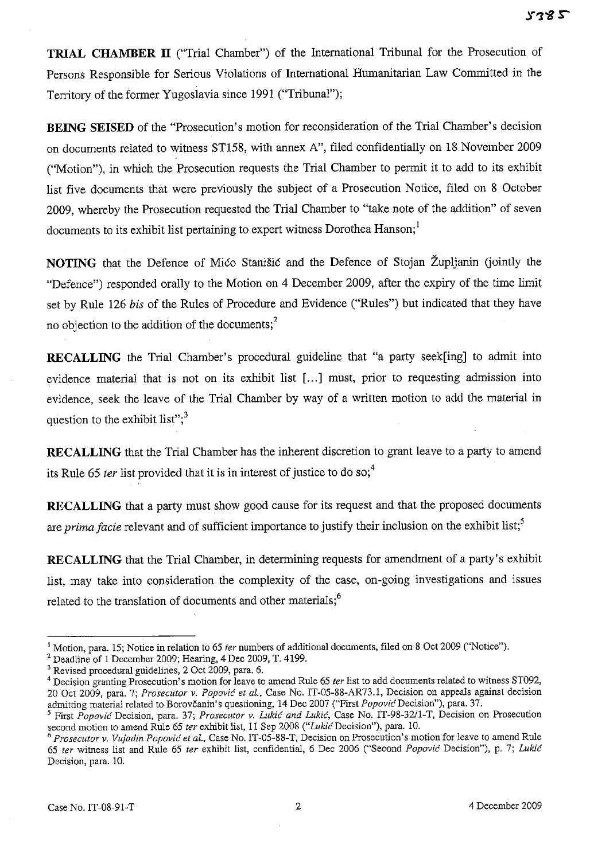**TRIAL CHAMBER 11** ("Trial Chamber") of the International Tribunal for the Prosecution of Persons Responsible for Serious Violations of International Humanitarian Law Committed in the Territory of the former Yugoslavia since 1991 ("Tribunal");

**BEING SEISED** of the "Prosecution's motion for reconsideration of the Trial Chamber's decision on documents related to witness ST158, with annex A", filed confidentially on 18 November 2009 ("Motion"), in which the Prosecution requests the Trial Chamber to permit it to add to its exhibit list five documents that were previously the subject of a Prosecution Notice, filed on 8 October 2009, whereby the Prosecution requested the Trial Chamber to "take note of the addition" of seven documents to its exhibit list pertaining to expert witness Dorothea Hanson;<sup>1</sup>

**NOTING** that the Defence of Mico Stanisic and the Defence of Stojan Zupljanin (jointly the "Defence") responded orally to the Motion on 4 December 2009, after the expiry of the time limit set by Rule 126 *his* of the Rules of Procedure and Evidence ("Rules") but indicated that they have no objection to the addition of the documents;<sup>2</sup>

**RECALLING** the Trial Chamber's procedural guideline that "a party seek[ing] to admit into evidence material that is not on its exhibit list [...] must, prior to requesting admission into evidence, seek the leave of the Trial Chamber by way of a written motion to add the material in question to the exhibit list"; $3<sup>3</sup>$ 

**RECALLING** that the Trial Chamber has the inherent discretion to grant leave to a party to amend its Rule 65 *ter* list provided that it is in interest of justice to do so;<sup>4</sup>

**RECALLING** that a party must show good cause for its request and that the proposed documents are *prima facie* relevant and of sufficient importance to justify their inclusion on the exhibit list;<sup>5</sup>

**RECALLING** that the Trial Chamber, in determining requests for amendment of a party's exhibit list, may take into consideration the complexity of the case, on-going investigations and issues related to the translation of documents and other materials; $<sup>6</sup>$ </sup>

<sup>&</sup>lt;sup>1</sup> Motion, para. 15; Notice in relation to 65 *ter* numbers of additional documents, filed on 8 Oct 2009 ("Notice").

<sup>2</sup> Deadline of I December 2009; Hearing, 4 Dec 2009, T. 4199.

<sup>3</sup> Revised procedural guidelines, 2 Oct 2009, para. 6.

<sup>4</sup> Decision granting Prosecution's motion for leave to amend Rule 65 *ter* list to add documents related to witness ST092, 20 Oct 2009, para. 7; *Prosecutor* v. *Popovic et al.,* Case No. IT-05-88-AR73.1, Decision on appeals against decision admitting material related to Borovčanin's questioning, 14 Dec 2007 ("First *Popović* Decision"), para. 37.

<sup>5</sup> First *Popovic* Decision, para. 37; *Prosecutor* v. *Lukic and Lukic,* Case No. 1T-98-32/l-T, Decision on Prosecution second motion to amend Rule 65 *ter* exhibit list, 11 Sep 2008 ("Lukić Decision"), para. 10.

*<sup>6</sup> Prosecutor* v. *Vuiadin Popovic et al.,* Case No.IT-05-88-T, Decision on Prosecution's motion for leave to amend Rule *65 ter* witness list and Rule 65 *ter* exhibit list, confidential, 6 Dec 2006 ("Second *Popovic* Decision"), p. 7; *Lukic*  Decision, para. 10.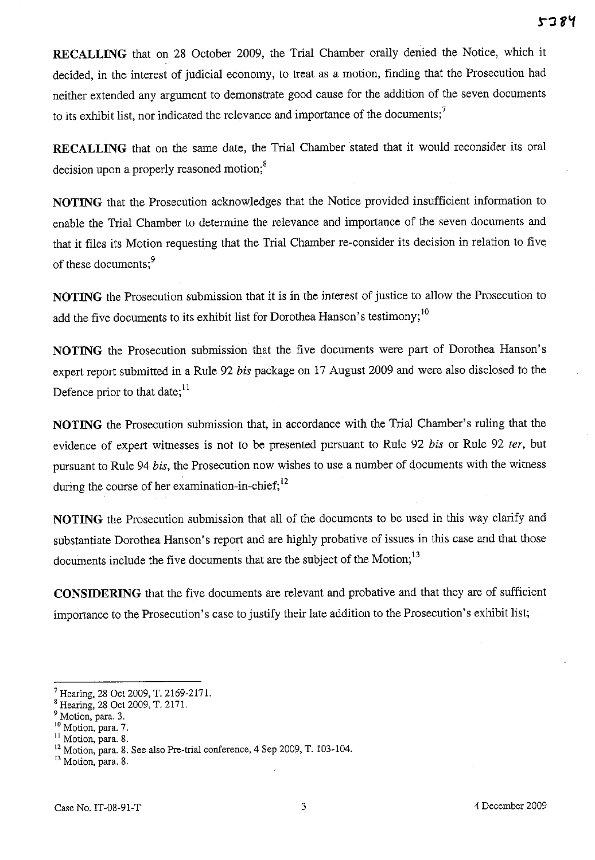**RECALLING** that on 28 October 2009, the Trial Chamber orally denied the Notice, which it decided, in the interest of judicial economy, to treat as a motion, finding that the Prosecution had neither extended any argument to demonstrate good cause for the addition of the seven documents to its exhibit list, nor indicated the relevance and importance of the documents; $<sup>7</sup>$ </sup>

**RECALLING** that on the same date, the Trial Chamber stated that it would reconsider its oral decision upon a properly reasoned motion;<sup>8</sup>

**NOTING** that the Prosecution acknowledges that the Notice provided insufficient information to enable the Trial Chamber to determine the relevance and importance of the seven documents and that it files its Motion requesting that the Trial Chamber re-consider its decision in relation to five of these documents;<sup>9</sup>

**NOTING** the Prosecution submission that it is in the interest of justice to allow the Prosecution to add the five documents to its exhibit list for Dorothea Hanson's testimony;<sup>10</sup>

**NOTING** the Prosecution submission that the five documents were part of Dorothea Hanson's expert report submitted in a Rule 92 *bis* package on 17 August 2009 and were also disclosed to the Defence prior to that date; $^{11}$ 

**NOTING** the Prosecution submission that, in accordance with the Trial Chamber's ruling that the evidence of expert witnesses is not to be presented pursuant to Rule 92 *bis* or Rule 92 *ter,* but pursuant to Rule 94 *bis,* the Prosecution now wishes to use a number of documents with the witness during the course of her examination-in-chief; $^{12}$ 

**NOTING** the Prosecution submission that all of the documents to be used in this way clarify and substantiate Dorothea Hanson's report and are highly probative of issues in this case and that those documents include the five documents that are the subject of the Motion;<sup>13</sup>

**CONSIDERING** that the five documents are relevant and probative and that they are of sufficient importance to the Prosecution's case to justify their late addition to the Prosecution's exhibit list;

<sup>7</sup> Hearing, 28 Qct 2009, T, 2169-2l7l.

<sup>8</sup> Hearing, 28 Qct 2009, T, 217l.

<sup>&</sup>lt;sup>9</sup> Motion, para. 3.

<sup>10</sup> Motion, para. 7.

<sup>&</sup>lt;sup>11</sup> Motion, para. 8.

<sup>&</sup>lt;sup>12</sup> Motion, para. 8. See also Pre-trial conference, 4 Sep 2009, T. 103-104.

<sup>&</sup>lt;sup>13</sup> Motion, para, 8.